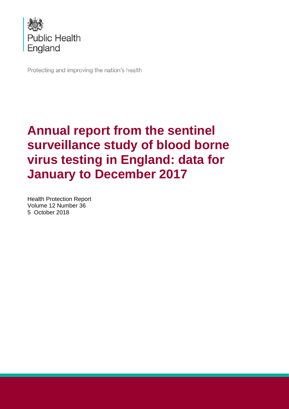

Protecting and improving the nation's health

# **Annual report from the sentinel surveillance study of blood borne virus testing in England: data for January to December 2017**

Health Protection Report Volume 12 Number 36 5 October 2018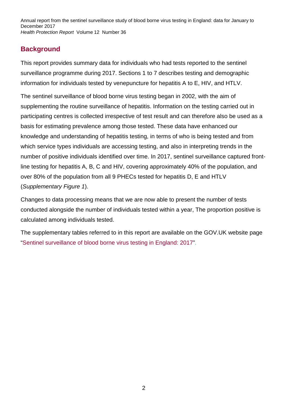## **Background**

This report provides summary data for individuals who had tests reported to the sentinel surveillance programme during 2017. Sections 1 to 7 describes testing and demographic information for individuals tested by venepuncture for hepatitis A to E, HIV, and HTLV.

The sentinel surveillance of blood borne virus testing began in 2002, with the aim of supplementing the routine surveillance of hepatitis. Information on the testing carried out in participating centres is collected irrespective of test result and can therefore also be used as a basis for estimating prevalence among those tested. These data have enhanced our knowledge and understanding of hepatitis testing, in terms of who is being tested and from which service types individuals are accessing testing, and also in interpreting trends in the number of positive individuals identified over time. In 2017, sentinel surveillance captured frontline testing for hepatitis A, B, C and HIV, covering approximately 40% of the population, and over 80% of the population from all 9 PHECs tested for hepatitis D, E and HTLV (*Supplementary Figure 1*).

Changes to data processing means that we are now able to present the number of tests conducted alongside the number of individuals tested within a year, The proportion positive is calculated among individuals tested.

The supplementary tables referred to in this report are available on the GOV.UK website page ["Sentinel surveillance of blood borne virus testing in England: 2017"](https://www.gov.uk/government/publications/sentinel-surveillance-of-blood-borne-virus-testing-in-england-2017).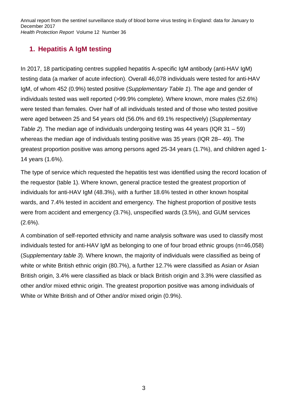# **1. Hepatitis A IgM testing**

In 2017, 18 participating centres supplied hepatitis A-specific IgM antibody (anti-HAV IgM) testing data (a marker of acute infection). Overall 46,078 individuals were tested for anti-HAV IgM, of whom 452 (0.9%) tested positive (*Supplementary Table 1*). The age and gender of individuals tested was well reported (>99.9% complete). Where known, more males (52.6%) were tested than females. Over half of all individuals tested and of those who tested positive were aged between 25 and 54 years old (56.0% and 69.1% respectively) (*Supplementary Table 2*). The median age of individuals undergoing testing was 44 years (IQR 31 – 59) whereas the median age of individuals testing positive was 35 years (IQR 28– 49). The greatest proportion positive was among persons aged 25-34 years (1.7%), and children aged 1- 14 years (1.6%).

The type of service which requested the hepatitis test was identified using the record location of the requestor (table 1). Where known, general practice tested the greatest proportion of individuals for anti-HAV IgM (48.3%), with a further 18.6% tested in other known hospital wards, and 7.4% tested in accident and emergency. The highest proportion of positive tests were from accident and emergency (3.7%), unspecified wards (3.5%), and GUM services  $(2.6\%)$ .

A combination of self-reported ethnicity and name analysis software was used to classify most individuals tested for anti-HAV IgM as belonging to one of four broad ethnic groups (n=46,058) (*Supplementary table 3*). Where known, the majority of individuals were classified as being of white or white British ethnic origin (80.7%), a further 12.7% were classified as Asian or Asian British origin, 3.4% were classified as black or black British origin and 3.3% were classified as other and/or mixed ethnic origin. The greatest proportion positive was among individuals of White or White British and of Other and/or mixed origin (0.9%).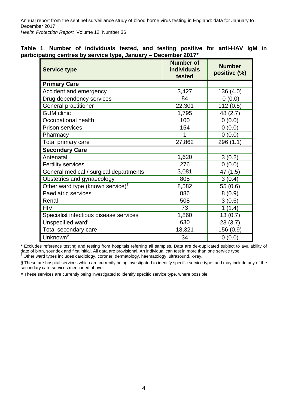|  |  | Table 1. Number of individuals tested, and testing positive for anti-HAV IgM in |  |  |  |  |
|--|--|---------------------------------------------------------------------------------|--|--|--|--|
|  |  | participating centres by service type, January - December 2017*                 |  |  |  |  |

| <b>Service type</b>                          | <b>Number of</b><br><b>individuals</b><br>tested | <b>Number</b><br>positive (%) |
|----------------------------------------------|--------------------------------------------------|-------------------------------|
| <b>Primary Care</b>                          |                                                  |                               |
| Accident and emergency                       | 3,427                                            | 136 (4.0)                     |
| Drug dependency services                     | 84                                               | 0(0.0)                        |
| General practitioner                         | 22,301                                           | 112(0.5)                      |
| <b>GUM clinic</b>                            | 1,795                                            | 48 (2.7)                      |
| Occupational health                          | 100                                              | 0(0.0)                        |
| <b>Prison services</b>                       | 154                                              | 0(0.0)                        |
| Pharmacy                                     | 1                                                | 0(0.0)                        |
| Total primary care                           | 27,862                                           | 296 (1.1)                     |
| <b>Secondary Care</b>                        |                                                  |                               |
| Antenatal                                    | 1,620                                            | 3(0.2)                        |
| <b>Fertility services</b>                    | 276                                              | 0(0.0)                        |
| General medical / surgical departments       | 3,081                                            | 47 (1.5)                      |
| Obstetrics and gynaecology                   | 805                                              | 3(0.4)                        |
| Other ward type (known service) <sup>†</sup> | 8,582                                            | 55(0.6)                       |
| Paediatric services                          | 886                                              | 8(0.9)                        |
| Renal                                        | 508                                              | 3(0.6)                        |
| <b>HIV</b>                                   | 73                                               | 1<br>(1.4)                    |
| Specialist infectious disease services       | 1,860                                            | 13(0.7)                       |
| Unspecified ward <sup>§</sup>                | 630                                              | 23(3.7)                       |
| Total secondary care                         | 18,321                                           | 156 (0.9)                     |
| Unknown <sup>#</sup>                         | 34                                               | 0(0.0)                        |

\* Excludes reference testing and testing from hospitals referring all samples. Data are de-duplicated subject to availability of date of birth, soundex and first initial. All data are provisional. An individual can test in more than one service type. † Other ward types includes cardiology, coroner, dermatology, haematology, ultrasound, x-ray.

§ These are hospital services which are currently being investigated to identify specific service type, and may include any of the secondary care services mentioned above.

# These services are currently being investigated to identify specific service type, where possible.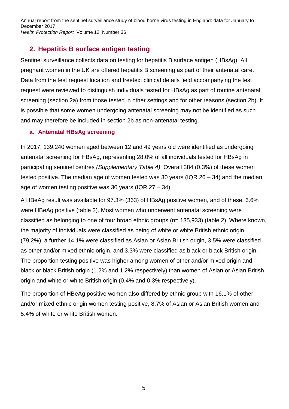#### **2. Hepatitis B surface antigen testing**

Sentinel surveillance collects data on testing for hepatitis B surface antigen (HBsAg). All pregnant women in the UK are offered hepatitis B screening as part of their antenatal care. Data from the test request location and freetext clinical details field accompanying the test request were reviewed to distinguish individuals tested for HBsAg as part of routine antenatal screening (section 2a) from those tested in other settings and for other reasons (section 2b). It is possible that some women undergoing antenatal screening may not be identified as such and may therefore be included in section 2b as non-antenatal testing.

#### **a. Antenatal HBsAg screening**

In 2017, 139,240 women aged between 12 and 49 years old were identified as undergoing antenatal screening for HBsAg, representing 28.0% of all individuals tested for HBsAg in participating sentinel centres *(Supplementary Table 4)*. Overall 384 (0.3%) of these women tested positive. The median age of women tested was 30 years (IQR  $26 - 34$ ) and the median age of women testing positive was 30 years (IQR 27 – 34).

A HBeAg result was available for 97.3% (363) of HBsAg positive women, and of these, 6.6% were HBeAg positive (table 2). Most women who underwent antenatal screening were classified as belonging to one of four broad ethnic groups (n= 135,933) (table 2). Where known, the majority of individuals were classified as being of white or white British ethnic origin (79.2%), a further 14.1% were classified as Asian or Asian British origin, 3.5% were classified as other and/or mixed ethnic origin, and 3.3% were classified as black or black British origin. The proportion testing positive was higher among women of other and/or mixed origin and black or black British origin (1.2% and 1.2% respectively) than women of Asian or Asian British origin and white or white British origin (0.4% and 0.3% respectively).

The proportion of HBeAg positive women also differed by ethnic group with 16.1% of other and/or mixed ethnic origin women testing positive, 8.7% of Asian or Asian British women and 5.4% of white or white British women.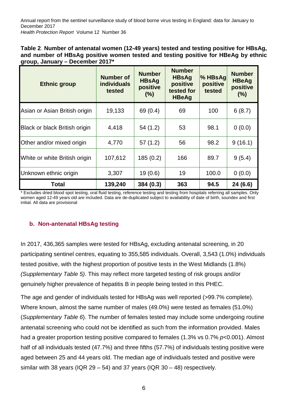| Table 2. Number of antenatal women (12-49 years) tested and testing positive for HBsAg, |
|-----------------------------------------------------------------------------------------|
| and number of HBsAg positive women tested and testing positive for HBeAg by ethnic      |
| group, January – December 2017*                                                         |

| <b>Ethnic group</b>           | <b>Number of</b><br><b>individuals</b><br>tested | <b>Number</b><br><b>HBsAg</b><br>positive<br>(%) | <b>Number</b><br><b>HBsAg</b><br>positive<br>tested for<br><b>HBeAg</b> | $\%$ HBsAg<br>positive<br>tested | <b>Number</b><br><b>HBeAg</b><br>positive<br>(% ) |
|-------------------------------|--------------------------------------------------|--------------------------------------------------|-------------------------------------------------------------------------|----------------------------------|---------------------------------------------------|
| Asian or Asian British origin | 19,133                                           | 69 (0.4)                                         | 69                                                                      | 100                              | 6(8.7)                                            |
| Black or black British origin | 4,418                                            | 54 (1.2)                                         | 53                                                                      | 98.1                             | 0(0.0)                                            |
| Other and/or mixed origin     | 4,770                                            | 57(1.2)                                          | 56                                                                      | 98.2                             | 9(16.1)                                           |
| White or white British origin | 107,612                                          | 185(0.2)                                         | 166                                                                     | 89.7                             | 9(5.4)                                            |
| Unknown ethnic origin         | 3,307                                            | 19(0.6)                                          | 19                                                                      | 100.0                            | 0(0.0)                                            |
| Total                         | 139,240                                          | 384 (0.3)                                        | 363                                                                     | 94.5                             | 24 (6.6)                                          |

\* Excludes dried blood spot testing, oral fluid testing, reference testing and testing from hospitals referring all samples. Only women aged 12-49 years old are included. Data are de-duplicated subject to availability of date of birth, soundex and first initial. All data are provisional

#### **b. Non-antenatal HBsAg testing**

In 2017, 436,365 samples were tested for HBsAg, excluding antenatal screening, in 20 participating sentinel centres, equating to 355,585 individuals. Overall, 3,543 (1.0%) individuals tested positive, with the highest proportion of positive tests in the West Midlands (1.8%) *(Supplementary Table 5)*. This may reflect more targeted testing of risk groups and/or genuinely higher prevalence of hepatitis B in people being tested in this PHEC.

The age and gender of individuals tested for HBsAg was well reported (>99.7% complete). Where known, almost the same number of males (49.0%) were tested as females (51.0%) (*Supplementary Table 6*). The number of females tested may include some undergoing routine antenatal screening who could not be identified as such from the information provided. Males had a greater proportion testing positive compared to females (1.3% vs 0.7% *p*<0.001). Almost half of all individuals tested (47.7%) and three fifths (57.7%) of individuals testing positive were aged between 25 and 44 years old. The median age of individuals tested and positive were similar with 38 years (IQR  $29 - 54$ ) and 37 years (IQR  $30 - 48$ ) respectively.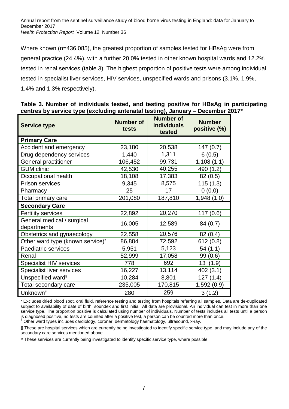Where known (n=436,085), the greatest proportion of samples tested for HBsAg were from general practice (24.4%), with a further 20.0% tested in other known hospital wards and 12.2% tested in renal services (table 3). The highest proportion of positive tests were among individual tested in specialist liver services, HIV services, unspecified wards and prisons (3.1%, 1.9%, 1.4% and 1.3% respectively).

| <b>Service type</b>                          | <b>Number of</b><br>tests | <b>Number of</b><br><b>individuals</b><br>tested | <b>Number</b><br>positive (%) |
|----------------------------------------------|---------------------------|--------------------------------------------------|-------------------------------|
| <b>Primary Care</b>                          |                           |                                                  |                               |
| Accident and emergency                       | 23,180                    | 20,538                                           | 147(0.7)                      |
| Drug dependency services                     | 1,440                     | 1,311                                            | 6(0.5)                        |
| <b>General practitioner</b>                  | 106,452                   | 99,731                                           | 1,108(1.1)                    |
| <b>GUM</b> clinic                            | 42,530                    | 40,255                                           | 490 (1.2)                     |
| Occupational health                          | 18,108                    | 17.383                                           | 82(0.5)                       |
| <b>Prison services</b>                       | 9,345                     | 8,575                                            | 115(1.3)                      |
| Pharmacy                                     | 25                        | 17                                               | 0(0.0)                        |
| Total primary care                           | 201,080                   | 187,810                                          | 1,948(1.0)                    |
| <b>Secondary Care</b>                        |                           |                                                  |                               |
| <b>Fertility services</b>                    | 22,892                    | 20,270                                           | 117(0.6)                      |
| General medical / surgical<br>departments    | 16,005                    | 12,589                                           | 84(0.7)                       |
| Obstetrics and gynaecology                   | 22,558                    | 20,576                                           | 82(0.4)                       |
| Other ward type (known service) <sup>†</sup> | 86,884                    | 72,592                                           | 612(0.8)                      |
| Paediatric services                          | 5,951                     | 5,123                                            | 54(1.1)                       |
| Renal                                        | 52,999                    | 17,058                                           | 99(0.6)                       |
| Specialist HIV services                      | 778                       | 692                                              | 13 (1.9)                      |
| <b>Specialist liver services</b>             | 16,227                    | 13,114                                           | 402 (3.1)                     |
| Unspecified ward <sup>§</sup>                | 10,284                    | 8,801                                            | 127 (1.4)                     |
| Total secondary care                         | 235,005                   | 170,815                                          | 1,592(0.9)                    |
| Unknown <sup>#</sup>                         | 280                       | 259                                              | 3(1.2)                        |

**Table 3. Number of individuals tested, and testing positive for HBsAg in participating centres by service type (excluding antenatal testing), January – December 2017\***

\* Excludes dried blood spot, oral fluid, reference testing and testing from hospitals referring all samples. Data are de-duplicated subject to availability of date of birth, soundex and first initial. All data are provisional. An individual can test in more than one service type. The proportion positive is calculated using number of individuals. Number of tests includes all tests until a person is diagnosed positive, no tests are counted after a positive test, a person can be counted more than once.

† Other ward types includes cardiology, coroner, dermatology haematology, ultrasound, x-ray.

§ These are hospital services which are currently being investigated to identify specific service type, and may include any of the secondary care services mentioned above.

# These services are currently being investigated to identify specific service type, where possible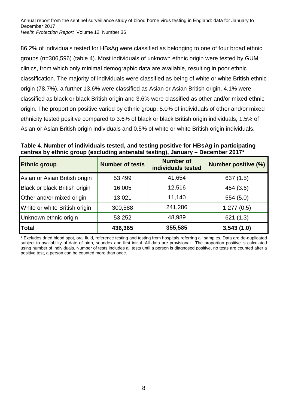86.2% of individuals tested for HBsAg were classified as belonging to one of four broad ethnic groups (n=306,596) (table 4). Most individuals of unknown ethnic origin were tested by GUM clinics, from which only minimal demographic data are available, resulting in poor ethnic classification. The majority of individuals were classified as being of white or white British ethnic origin (78.7%), a further 13.6% were classified as Asian or Asian British origin, 4.1% were classified as black or black British origin and 3.6% were classified as other and/or mixed ethnic origin. The proportion positive varied by ethnic group; 5.0% of individuals of other and/or mixed ethnicity tested positive compared to 3.6% of black or black British origin individuals, 1.5% of Asian or Asian British origin individuals and 0.5% of white or white British origin individuals.

**Table 4**. **Number of individuals tested, and testing positive for HBsAg in participating centres by ethnic group (excluding antenatal testing), January – December 2017\***

| <b>Ethnic group</b>           | <b>Number of tests</b> | <b>Number of</b><br>individuals tested | <b>Number positive (%)</b> |
|-------------------------------|------------------------|----------------------------------------|----------------------------|
| Asian or Asian British origin | 53,499                 | 41,654                                 | 637(1.5)                   |
| Black or black British origin | 16,005                 | 12,516                                 | 454 (3.6)                  |
| Other and/or mixed origin     | 13,021                 | 11,140                                 | 554(5.0)                   |
| White or white British origin | 300,588                | 241,286                                | 1,277(0.5)                 |
| Unknown ethnic origin         | 53,252                 | 48,989                                 | 621(1.3)                   |
| <b>Total</b>                  | 436,365                | 355,585                                | 3,543(1.0)                 |

\* Excludes dried blood spot, oral fluid, reference testing and testing from hospitals referring all samples. Data are de-duplicated subject to availability of date of birth, soundex and first initial. All data are provisional. The proportion positive is calculated using number of individuals. Number of tests includes all tests until a person is diagnosed positive, no tests are counted after a positive test, a person can be counted more than once.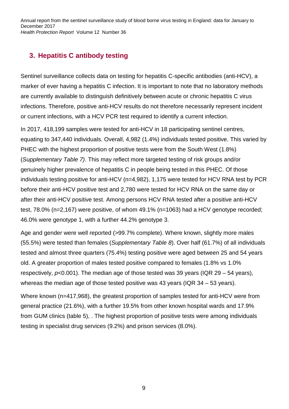# **3. Hepatitis C antibody testing**

Sentinel surveillance collects data on testing for hepatitis C-specific antibodies (anti-HCV), a marker of ever having a hepatitis C infection. It is important to note that no laboratory methods are currently available to distinguish definitively between acute or chronic hepatitis C virus infections. Therefore, positive anti-HCV results do not therefore necessarily represent incident or current infections, with a HCV PCR test required to identify a current infection.

In 2017, 418,199 samples were tested for anti-HCV in 18 participating sentinel centres, equating to 347,440 individuals. Overall, 4,982 (1.4%) individuals tested positive. This varied by PHEC with the highest proportion of positive tests were from the South West (1.8%) (*Supplementary Table 7)*. This may reflect more targeted testing of risk groups and/or genuinely higher prevalence of hepatitis C in people being tested in this PHEC. Of those individuals testing positive for anti-HCV (n=4,982), 1,175 were tested for HCV RNA test by PCR before their anti-HCV positive test and 2,780 were tested for HCV RNA on the same day or after their anti-HCV positive test. Among persons HCV RNA tested after a positive anti-HCV test, 78.0% (n=2,167) were positive, of whom 49.1% (n=1063) had a HCV genotype recorded; 46.0% were genotype 1, with a further 44.2% genotype 3.

Age and gender were well reported (>99.7% complete). Where known, slightly more males (55.5%) were tested than females (*Supplementary Table 8*). Over half (61.7%) of all individuals tested and almost three quarters (75.4%) testing positive were aged between 25 and 54 years old. A greater proportion of males tested positive compared to females (1.8% vs 1.0% respectively, *p*<0.001). The median age of those tested was 39 years (IQR 29 – 54 years), whereas the median age of those tested positive was 43 years (IQR 34 – 53 years).

Where known (n=417,968), the greatest proportion of samples tested for anti-HCV were from general practice (21.6%), with a further 19.5% from other known hospital wards and 17.9% from GUM clinics (table 5), . The highest proportion of positive tests were among individuals testing in specialist drug services (9.2%) and prison services (8.0%).

9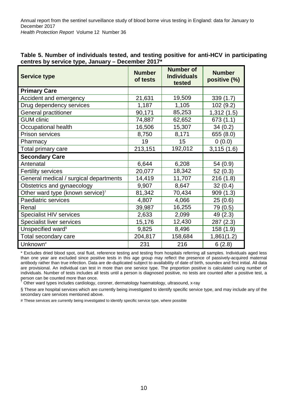| <b>Service type</b>                          | <b>Number</b><br>of tests | <b>Number of</b><br><b>Individuals</b><br>tested | <b>Number</b><br>positive (%) |
|----------------------------------------------|---------------------------|--------------------------------------------------|-------------------------------|
| <b>Primary Care</b>                          |                           |                                                  |                               |
| Accident and emergency                       | 21,631                    | 19,509                                           | 339(1.7)                      |
| Drug dependency services                     | 1,187                     | 1,105                                            | 102 (9.2)                     |
| <b>General practitioner</b>                  | 90,171                    | 85,253                                           | 1,312(1.5)                    |
| <b>GUM clinic</b>                            | 74,887                    | 62,652                                           | 673 (1.1)                     |
| Occupational health                          | 16,506                    | 15,307                                           | 34(0.2)                       |
| <b>Prison services</b>                       | 8,750                     | 8,171                                            | 655(8.0)                      |
| Pharmacy                                     | 19                        | 15                                               | 0(0.0)                        |
| Total primary care                           | 213,151                   | 192,012                                          | 3,115(1.6)                    |
| <b>Secondary Care</b>                        |                           |                                                  |                               |
| Antenatal                                    | 6,644                     | 6,208                                            | 54 (0.9)                      |
| <b>Fertility services</b>                    | 20,077                    | 18,342                                           | 52(0.3)                       |
| General medical / surgical departments       | 14,419                    | 11,707                                           | 216(1.8)                      |
| Obstetrics and gynaecology                   | 9,907                     | 8,647                                            | 32(0.4)                       |
| Other ward type (known service) <sup>†</sup> | 81,342                    | 70,434                                           | 909(1.3)                      |
| Paediatric services                          | 4,807                     | 4,066                                            | 25(0.6)                       |
| Renal                                        | 39,987                    | 16,255                                           | 79 (0.5)                      |
| <b>Specialist HIV services</b>               | 2,633                     | 2,099                                            | 49 (2.3)                      |
| <b>Specialist liver services</b>             | 15,176                    | 12,430                                           | 287(2.3)                      |
| Unspecified ward <sup>§</sup>                | 9,825                     | 8,496                                            | 158 (1.9)                     |
| Total secondary care                         | 204,817                   | 158,684                                          | 1,861(1.2)                    |
| Unknown <sup>#</sup>                         | 231                       | 216                                              | 6(2.8)                        |

#### **Table 5. Number of individuals tested, and testing positive for anti-HCV in participating centres by service type, January – December 2017\***

\* Excludes dried blood spot, oral fluid, reference testing and testing from hospitals referring all samples. Individuals aged less than one year are excluded since positive tests in this age group may reflect the presence of passively-acquired maternal antibody rather than true infection. Data are de-duplicated subject to availability of date of birth, soundex and first initial. All data are provisional. An individual can test in more than one service type. The proportion positive is calculated using number of individuals. Number of tests includes all tests until a person is diagnosed positive, no tests are counted after a positive test, a person can be counted more than once.

† Other ward types includes cardiology, coroner, dermatology haematology, ultrasound, x-ray

§ These are hospital services which are currently being investigated to identify specific service type, and may include any of the secondary care services mentioned above.

# These services are currently being investigated to identify specific service type, where possible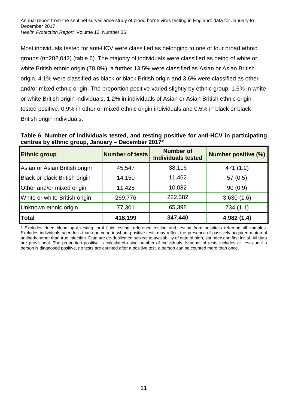Most individuals tested for anti-HCV were classified as belonging to one of four broad ethnic groups (n=282,042) (table 6). The majority of individuals were classified as being of white or white British ethnic origin (78.8%), a further 13.5% were classified as Asian or Asian British origin, 4.1% were classified as black or black British origin and 3.6% were classified as other and/or mixed ethnic origin. The proportion positive varied slightly by ethnic group: 1.6% in white or white British origin individuals, 1.2% in individuals of Asian or Asian British ethnic origin tested positive, 0.9% in other or mixed ethnic origin individuals and 0.5% in black or black British origin individuals.

**Table 6**. **Number of individuals tested, and testing positive for anti-HCV in participating centres by ethnic group, January – December 2017\***

| <b>Ethnic group</b>           | <b>Number of tests</b> | <b>Number of</b><br><b>Individuals tested</b> | <b>Number positive (%)</b> |
|-------------------------------|------------------------|-----------------------------------------------|----------------------------|
| Asian or Asian British origin | 45,547                 | 38,116                                        | 471 (1.2)                  |
| Black or black British origin | 14,150                 | 11,462                                        | 57(0.5)                    |
| Other and/or mixed origin     | 11,425                 | 10,082                                        | 90(0.9)                    |
| White or white British origin | 269,776                | 222,382                                       | 3,630(1.6)                 |
| Unknown ethnic origin         | 77,301                 | 65,398                                        | 734(1.1)                   |
| Total                         | 418,199                | 347,440                                       | 4,982 (1.4)                |

Excludes dried blood spot testing, oral fluid testing, reference testing and testing from hospitals referring all samples. Excludes individuals aged less than one year, in whom positive tests may reflect the presence of passively-acquired maternal antibody rather than true infection. Data are de-duplicated subject to availability of date of birth, soundex and first initial. All data are provisional. The proportion positive is calculated using number of individuals. Number of tests includes all tests until a person is diagnosed positive, no tests are counted after a positive test, a person can be counted more than once.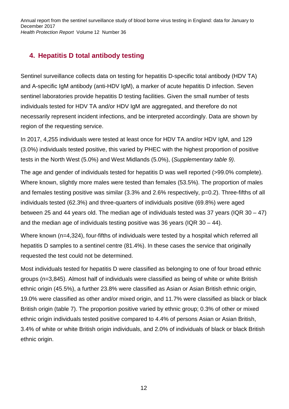## **4. Hepatitis D total antibody testing**

Sentinel surveillance collects data on testing for hepatitis D-specific total antibody (HDV TA) and A-specific IgM antibody (anti-HDV IgM), a marker of acute hepatitis D infection. Seven sentinel laboratories provide hepatitis D testing facilities. Given the small number of tests individuals tested for HDV TA and/or HDV IgM are aggregated, and therefore do not necessarily represent incident infections, and be interpreted accordingly. Data are shown by region of the requesting service.

In 2017, 4,255 individuals were tested at least once for HDV TA and/or HDV IgM, and 129 (3.0%) individuals tested positive, this varied by PHEC with the highest proportion of positive tests in the North West (5.0%) and West Midlands (5.0%), (*Supplementary table 9)*.

The age and gender of individuals tested for hepatitis D was well reported (>99.0% complete). Where known, slightly more males were tested than females (53.5%). The proportion of males and females testing positive was similar (3.3% and 2.6% respectively, p=0.2). Three-fifths of all individuals tested (62.3%) and three-quarters of individuals positive (69.8%) were aged between 25 and 44 years old. The median age of individuals tested was 37 years (IQR 30 – 47) and the median age of individuals testing positive was 36 years (IQR 30 – 44).

Where known (n=4,324), four-fifths of individuals were tested by a hospital which referred all hepatitis D samples to a sentinel centre (81.4%). In these cases the service that originally requested the test could not be determined.

Most individuals tested for hepatitis D were classified as belonging to one of four broad ethnic groups (n=3,845). Almost half of individuals were classified as being of white or white British ethnic origin (45.5%), a further 23.8% were classified as Asian or Asian British ethnic origin, 19.0% were classified as other and/or mixed origin, and 11.7% were classified as black or black British origin (table 7). The proportion positive varied by ethnic group; 0.3% of other or mixed ethnic origin individuals tested positive compared to 4.4% of persons Asian or Asian British, 3.4% of white or white British origin individuals, and 2.0% of individuals of black or black British ethnic origin.

12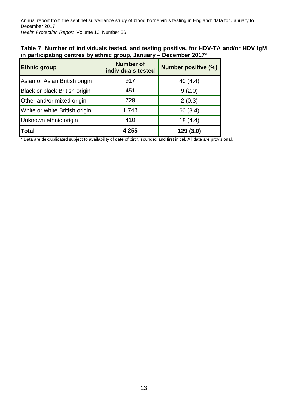| Table 7. Number of individuals tested, and testing positive, for HDV-TA and/or HDV IgM |  |
|----------------------------------------------------------------------------------------|--|
| in participating centres by ethnic group, January – December 2017*                     |  |

| <b>Ethnic group</b>           | <b>Number of</b><br>individuals tested | <b>Number positive (%)</b> |
|-------------------------------|----------------------------------------|----------------------------|
| Asian or Asian British origin | 917                                    | 40 $(4.4)$                 |
| Black or black British origin | 451                                    | 9(2.0)                     |
| Other and/or mixed origin     | 729                                    | 2(0.3)                     |
| White or white British origin | 1,748                                  | 60 (3.4)                   |
| Unknown ethnic origin         | 410                                    | 18(4.4)                    |
| <b>Total</b>                  | 4,255                                  | 129(3.0)                   |

\* Data are de-duplicated subject to availability of date of birth, soundex and first initial. All data are provisional.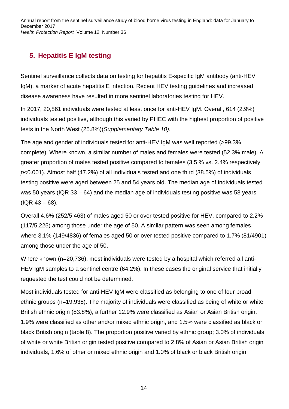# **5. Hepatitis E IgM testing**

Sentinel surveillance collects data on testing for hepatitis E-specific IgM antibody (anti-HEV IgM), a marker of acute hepatitis E infection. Recent HEV testing guidelines and increased disease awareness have resulted in more sentinel laboratories testing for HEV.

In 2017, 20,861 individuals were tested at least once for anti-HEV IgM. Overall, 614 (2.9%) individuals tested positive, although this varied by PHEC with the highest proportion of positive tests in the North West (25.8%)(*Supplementary Table 10)*.

The age and gender of individuals tested for anti-HEV IgM was well reported (>99.3% complete). Where known, a similar number of males and females were tested (52.3% male). A greater proportion of males tested positive compared to females (3.5 % vs. 2.4% respectively, *p*<0.001). Almost half (47.2%) of all individuals tested and one third (38.5%) of individuals testing positive were aged between 25 and 54 years old. The median age of individuals tested was 50 years (IQR 33 – 64) and the median age of individuals testing positive was 58 years (IQR 43 – 68).

Overall 4.6% (252/5,463) of males aged 50 or over tested positive for HEV, compared to 2.2% (117/5,225) among those under the age of 50. A similar pattern was seen among females, where 3.1% (149/4836) of females aged 50 or over tested positive compared to 1.7% (81/4901) among those under the age of 50.

Where known (n=20,736), most individuals were tested by a hospital which referred all anti-HEV IgM samples to a sentinel centre (64.2%). In these cases the original service that initially requested the test could not be determined.

Most individuals tested for anti-HEV IgM were classified as belonging to one of four broad ethnic groups (n=19,938). The majority of individuals were classified as being of white or white British ethnic origin (83.8%), a further 12.9% were classified as Asian or Asian British origin, 1.9% were classified as other and/or mixed ethnic origin, and 1.5% were classified as black or black British origin (table 8). The proportion positive varied by ethnic group; 3.0% of individuals of white or white British origin tested positive compared to 2.8% of Asian or Asian British origin individuals, 1.6% of other or mixed ethnic origin and 1.0% of black or black British origin.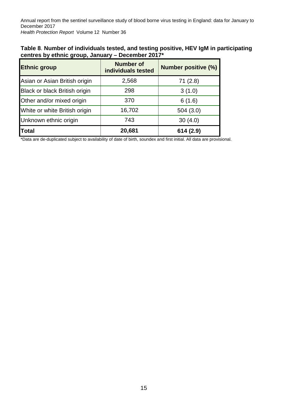| Table 8. Number of individuals tested, and testing positive, HEV IgM in participating |
|---------------------------------------------------------------------------------------|
| centres by ethnic group, January – December 2017*                                     |

| <b>Ethnic group</b>                  | <b>Number of</b><br>individuals tested | <b>Number positive (%)</b> |
|--------------------------------------|----------------------------------------|----------------------------|
| Asian or Asian British origin        | 2,568                                  | 71(2.8)                    |
| <b>Black or black British origin</b> | 298                                    | 3(1.0)                     |
| Other and/or mixed origin            | 370                                    | 6(1.6)                     |
| White or white British origin        | 16,702                                 | 504(3.0)                   |
| Unknown ethnic origin                | 743                                    | 30(4.0)                    |
| Total                                | 20,681                                 | 614 (2.9)                  |

\*Data are de-duplicated subject to availability of date of birth, soundex and first initial. All data are provisional.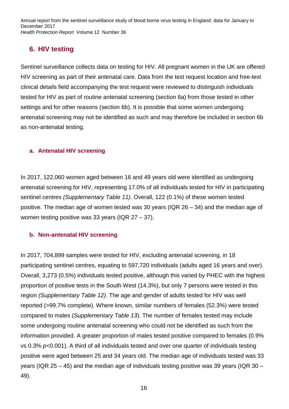### **6. HIV testing**

Sentinel surveillance collects data on testing for HIV. All pregnant women in the UK are offered HIV screening as part of their antenatal care. Data from the test request location and free-text clinical details field accompanying the test request were reviewed to distinguish individuals tested for HIV as part of routine antenatal screening (section 6a) from those tested in other settings and for other reasons (section 6b). It is possible that some women undergoing antenatal screening may not be identified as such and may therefore be included in section 6b as non-antenatal testing.

#### **a. Antenatal HIV screening**

In 2017, 122,060 women aged between 16 and 49 years old were identified as undergoing antenatal screening for HIV, representing 17.0% of all individuals tested for HIV in participating sentinel centres *(Supplementary Table 11)*. Overall, 122 (0.1%) of these women tested positive. The median age of women tested was 30 years (IQR 26 – 34) and the median age of women testing positive was 33 years (IQR 27 – 37).

#### **b. Non-antenatal HIV screening**

In 2017, 704,899 samples were tested for HIV, excluding antenatal screening, in 18 participating sentinel centres, equating to 597,720 individuals (adults aged 16 years and over). Overall, 3,273 (0.5%) individuals tested positive, although this varied by PHEC with the highest proportion of positive tests in the South West (14.3%), but only 7 persons were tested in this region *(Supplementary Table 12)*. The age and gender of adults tested for HIV was well reported (>99.7% complete). Where known, similar numbers of females (52.3%) were tested compared to males (*Supplementary Table 13*). The number of females tested may include some undergoing routine antenatal screening who could not be identified as such from the information provided. A greater proportion of males tested positive compared to females (0.9% vs 0.3% *p*<0.001). A third of all individuals tested and over one quarter of individuals testing positive were aged between 25 and 34 years old. The median age of individuals tested was 33 years (IQR 25 – 45) and the median age of individuals testing positive was 39 years (IQR 30 – 49).

16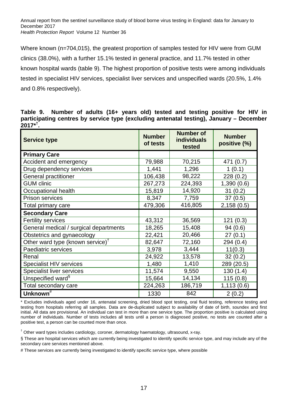Where known (n=704,015), the greatest proportion of samples tested for HIV were from GUM clinics (38.0%), with a further 15.1% tested in general practice, and 11.7% tested in other known hospital wards (table 9). The highest proportion of positive tests were among individuals tested in specialist HIV services, specialist liver services and unspecified wards (20.5%, 1.4% and 0.8% respectively).

**Table 9. Number of adults (16+ years old) tested and testing positive for HIV in participating centres by service type (excluding antenatal testing), January – December 2017\* † .**

| <b>Service type</b>                          | <b>Number</b><br>of tests | <b>Number of</b><br><b>individuals</b><br>tested | <b>Number</b><br>positive (%) |
|----------------------------------------------|---------------------------|--------------------------------------------------|-------------------------------|
| <b>Primary Care</b>                          |                           |                                                  |                               |
| Accident and emergency                       | 79,988                    | 70,215                                           | 471 (0.7)                     |
| Drug dependency services                     | 1,441                     | 1,296                                            | 1(0.1)                        |
| <b>General practitioner</b>                  | 106,438                   | 98,222                                           | 228(0.2)                      |
| <b>GUM clinic</b>                            | 267,273                   | 224,393                                          | 1,390(0.6)                    |
| Occupational health                          | 15,819                    | 14,920                                           | 31(0.2)                       |
| <b>Prison services</b>                       | 8,347                     | 7,759                                            | 37(0.5)                       |
| Total primary care                           | 479,306                   | 416,805                                          | 2,158(0.5)                    |
| <b>Secondary Care</b>                        |                           |                                                  |                               |
| <b>Fertility services</b>                    | 43,312                    | 36,569                                           | 121(0.3)                      |
| General medical / surgical departments       | 18,265                    | 15,408                                           | 94(0.6)                       |
| Obstetrics and gynaecology                   | 22,421                    | 20,466                                           | 27(0.1)                       |
| Other ward type (known service) <sup>†</sup> | 82,647                    | 72,160                                           | 294 (0.4)                     |
| Paediatric services                          | 3,978                     | 3,444                                            | 11(0.3)                       |
| Renal                                        | 24,922                    | 13,578                                           | 32(0.2)                       |
| Specialist HIV services                      | 1,480                     | 1,410                                            | 289 (20.5)                    |
| <b>Specialist liver services</b>             | 11,574                    | 9,550                                            | 130(1.4)                      |
| Unspecified ward <sup>§</sup>                | 15,664                    | 14,134                                           | 115(0.8)                      |
| Total secondary care                         | 224,263                   | 186,719                                          | 1,113(0.6)                    |
| Unknown <sup>#</sup>                         | 1330                      | 842                                              | 2(0.2)                        |

\* Excludes individuals aged under 16, antenatal screening, dried blood spot testing, oral fluid testing, reference testing and testing from hospitals referring all samples. Data are de-duplicated subject to availability of date of birth, soundex and first initial. All data are provisional. An individual can test in more than one service type. The proportion positive is calculated using number of individuals. Number of tests includes all tests until a person is diagnosed positive, no tests are counted after a positive test, a person can be counted more than once.

† Other ward types includes cardiology, coroner, dermatology haematology, ultrasound, x-ray.

§ These are hospital services which are currently being investigated to identify specific service type, and may include any of the secondary care services mentioned above.

# These services are currently being investigated to identify specific service type, where possible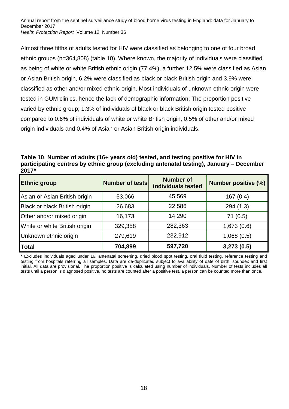Almost three fifths of adults tested for HIV were classified as belonging to one of four broad ethnic groups (n=364,808) (table 10). Where known, the majority of individuals were classified as being of white or white British ethnic origin (77.4%), a further 12.5% were classified as Asian or Asian British origin, 6.2% were classified as black or black British origin and 3.9% were classified as other and/or mixed ethnic origin. Most individuals of unknown ethnic origin were tested in GUM clinics, hence the lack of demographic information. The proportion positive varied by ethnic group; 1.3% of individuals of black or black British origin tested positive compared to 0.6% of individuals of white or white British origin, 0.5% of other and/or mixed origin individuals and 0.4% of Asian or Asian British origin individuals.

**Table 10**. **Number of adults (16+ years old) tested, and testing positive for HIV in participating centres by ethnic group (excluding antenatal testing), January – December 2017\***

| <b>Ethnic group</b>                  | Number of tests | <b>Number of</b><br>individuals tested | <b>Number positive (%)</b> |
|--------------------------------------|-----------------|----------------------------------------|----------------------------|
| Asian or Asian British origin        | 53,066          | 45,569                                 | 167(0.4)                   |
| <b>Black or black British origin</b> | 26,683          | 22,586                                 | 294(1.3)                   |
| Other and/or mixed origin            | 16,173          | 14,290                                 | 71(0.5)                    |
| White or white British origin        | 329,358         | 282,363                                | 1,673(0.6)                 |
| Unknown ethnic origin                | 279,619         | 232,912                                | 1,068(0.5)                 |
| Total                                | 704,899         | 597,720                                | 3,273(0.5)                 |

\* Excludes individuals aged under 16, antenatal screening, dried blood spot testing, oral fluid testing, reference testing and testing from hospitals referring all samples. Data are de-duplicated subject to availability of date of birth, soundex and first initial. All data are provisional. The proportion positive is calculated using number of individuals. Number of tests includes all tests until a person is diagnosed positive, no tests are counted after a positive test, a person can be counted more than once.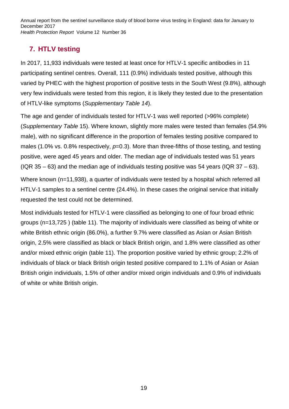# **7. HTLV testing**

In 2017, 11,933 individuals were tested at least once for HTLV-1 specific antibodies in 11 participating sentinel centres. Overall, 111 (0.9%) individuals tested positive, although this varied by PHEC with the highest proportion of positive tests in the South West (9.8%), although very few individuals were tested from this region, it is likely they tested due to the presentation of HTLV-like symptoms (*Supplementary Table 14*).

The age and gender of individuals tested for HTLV-1 was well reported (>96% complete) (*Supplementary Table* 15). Where known, slightly more males were tested than females (54.9% male), with no significant difference in the proportion of females testing positive compared to males (1.0% vs. 0.8% respectively,  $p=0.3$ ). More than three-fifths of those testing, and testing positive, were aged 45 years and older. The median age of individuals tested was 51 years (IQR 35 – 63) and the median age of individuals testing positive was 54 years (IQR 37 – 63).

Where known (n=11,938), a quarter of individuals were tested by a hospital which referred all HTLV-1 samples to a sentinel centre (24.4%). In these cases the original service that initially requested the test could not be determined.

Most individuals tested for HTLV-1 were classified as belonging to one of four broad ethnic groups (n=13,725 ) (table 11). The majority of individuals were classified as being of white or white British ethnic origin (86.0%), a further 9.7% were classified as Asian or Asian British origin, 2.5% were classified as black or black British origin, and 1.8% were classified as other and/or mixed ethnic origin (table 11). The proportion positive varied by ethnic group; 2.2% of individuals of black or black British origin tested positive compared to 1.1% of Asian or Asian British origin individuals, 1.5% of other and/or mixed origin individuals and 0.9% of individuals of white or white British origin.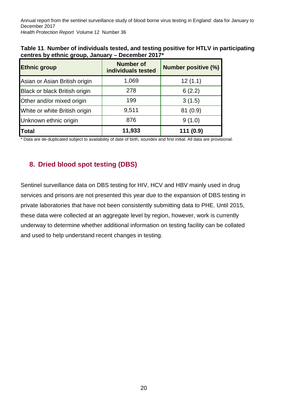| <b>Ethnic group</b>           | <b>Number of</b><br>individuals tested | <b>Number positive (%)</b> |
|-------------------------------|----------------------------------------|----------------------------|
| Asian or Asian British origin | 1,069                                  | 12(1.1)                    |
| Black or black British origin | 278                                    | 6(2.2)                     |
| Other and/or mixed origin     | 199                                    | 3(1.5)                     |
| White or white British origin | 9,511                                  | 81(0.9)                    |
| Unknown ethnic origin         | 876                                    | 9(1.0)                     |
| <b>Total</b>                  | 11,933                                 | 111 (0.9)                  |

| Table 11. Number of individuals tested, and testing positive for HTLV in participating |
|----------------------------------------------------------------------------------------|
| centres by ethnic group, January – December 2017*                                      |

\* Data are de-duplicated subject to availability of date of birth, soundex and first initial. All data are provisional.

### **8. Dried blood spot testing (DBS)**

Sentinel surveillance data on DBS testing for HIV, HCV and HBV mainly used in drug services and prisons are not presented this year due to the expansion of DBS testing in private laboratories that have not been consistently submitting data to PHE. Until 2015, these data were collected at an aggregate level by region, however, work is currently underway to determine whether additional information on testing facility can be collated and used to help understand recent changes in testing.